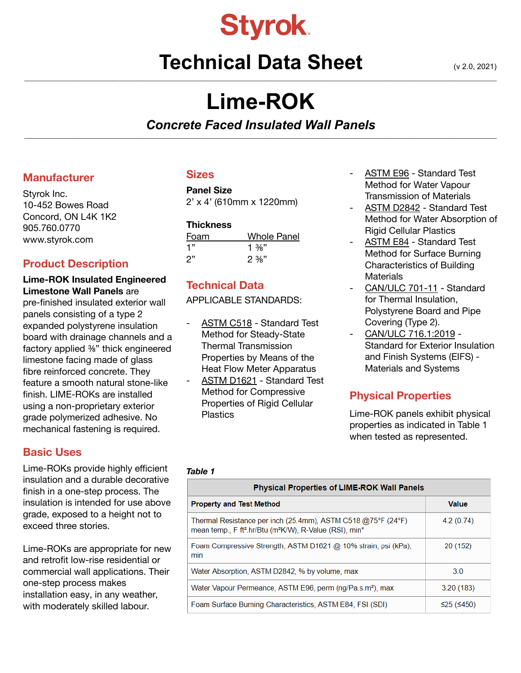

# **Technical Data Sheet** (v 2.0, 2021) **\_\_\_\_\_\_\_\_\_\_\_\_\_\_\_\_\_\_\_\_\_\_\_\_\_\_\_\_\_\_\_\_\_\_\_\_\_\_\_\_\_\_\_\_\_\_\_\_\_\_\_\_\_\_\_\_\_\_\_\_\_\_\_\_\_\_\_\_\_\_\_\_\_\_\_\_\_\_\_\_\_\_\_\_\_\_\_\_\_\_\_\_\_\_\_\_\_\_\_\_\_\_\_\_\_\_\_\_\_\_\_\_\_\_\_\_\_\_\_\_\_\_\_\_\_\_\_\_\_\_\_\_\_\_\_\_\_\_\_\_\_\_\_\_\_\_\_\_\_\_\_\_\_\_\_\_\_\_\_\_\_\_\_\_\_\_\_\_\_\_\_\_\_\_\_\_\_\_\_\_\_\_\_\_\_\_\_\_\_\_\_\_\_\_\_\_\_\_\_\_**

# **Lime-ROK**

#### *Concrete Faced Insulated Wall Panels* **\_\_\_\_\_\_\_\_\_\_\_\_\_\_\_\_\_\_\_\_\_\_\_\_\_\_\_\_\_\_\_\_\_\_\_\_\_\_\_\_\_\_\_\_\_\_\_\_\_\_\_\_\_\_\_\_\_\_\_\_\_\_\_\_\_\_\_\_\_\_\_\_\_\_\_\_\_\_\_\_\_\_\_\_\_\_\_\_\_\_\_\_\_\_\_\_\_\_\_\_\_\_\_\_\_\_\_\_\_\_\_\_\_\_\_\_\_\_\_\_\_\_\_\_\_\_\_\_\_\_\_\_\_\_\_\_\_\_\_\_\_\_\_\_\_\_\_\_\_\_\_\_\_\_\_\_\_\_\_\_\_\_\_\_\_\_\_\_\_\_\_\_\_\_\_\_\_\_\_\_\_\_\_\_\_\_\_\_\_\_\_\_\_\_\_\_\_\_\_\_**

#### **Manufacturer**

Styrok Inc. 10-452 Bowes Road Concord, ON L4K 1K2 905.760.0770 [www.styrok.co](http://www.styrok.com)m

## **Product Description**

#### **Lime-ROK Insulated Engineered Limestone Wall Panels** are pre-finished insulated exterior wall panels consisting of a type 2 expanded polystyrene insulation board with drainage channels and a

factory applied ⅜" thick engineered limestone facing made of glass fibre reinforced concrete. They feature a smooth natural stone-like finish. LIME-ROKs are installed using a non-proprietary exterior grade polymerized adhesive. No mechanical fastening is required.

# **Basic Uses**

Lime-ROKs provide highly efficient insulation and a durable decorative finish in a one-step process. The insulation is intended for use above grade, exposed to a height not to exceed three stories.

Lime-ROKs are appropriate for new and retrofit low-rise residential or commercial wall applications. Their one-step process makes installation easy, in any weather, with moderately skilled labour.

## **Sizes**

# **Panel Size**

2' x 4' (610mm x 1220mm)

### **Thickness**

| Foam | Whole Panel       |
|------|-------------------|
| "ו   | 1 $\frac{3}{8}$ " |
| ?"   | $2\frac{3}{8}$ "  |

# **Technical Data**

APPLICABLE STANDARDS:

- ASTM C518 Standard Test Method for Steady-State Thermal Transmission Properties by Means of the Heat Flow Meter Apparatus
- ASTM D1621 Standard Test Method for Compressive Properties of Rigid Cellular **Plastics**
- ASTM E96 Standard Test Method for Water Vapour Transmission of Materials
- ASTM D2842 Standard Test Method for Water Absorption of Rigid Cellular Plastics
- ASTM E84 Standard Test Method for Surface Burning Characteristics of Building **Materials**
- CAN/ULC 701-11 Standard for Thermal Insulation, Polystyrene Board and Pipe Covering (Type 2).
- CAN/ULC 716.1:2019 Standard for Exterior Insulation and Finish Systems (EIFS) - Materials and Systems

# **Physical Properties**

Lime-ROK panels exhibit physical properties as indicated in Table 1 when tested as represented.

#### *Table 1*

| Physical Properties of LIME-ROK Wall Panels                                                                                                                 |              |  |
|-------------------------------------------------------------------------------------------------------------------------------------------------------------|--------------|--|
| <b>Property and Test Method</b>                                                                                                                             | <b>Value</b> |  |
| Thermal Resistance per inch (25.4mm), ASTM C518 @75°F (24°F)<br>mean temp., F ft <sup>2</sup> .hr/Btu (m <sup>2</sup> K/W), R-Value (RSI), min <sup>*</sup> | 4.2(0.74)    |  |
| Foam Compressive Strength, ASTM D1621 @ 10% strain, psi (kPa),<br>min                                                                                       | 20 (152)     |  |
| Water Absorption, ASTM D2842, % by volume, max                                                                                                              | 30           |  |
| Water Vapour Permeance, ASTM E96, perm (ng/Pa.s.m <sup>2</sup> ), max                                                                                       | 3.20(183)    |  |
| Foam Surface Burning Characteristics, ASTM E84, FSI (SDI)                                                                                                   | $≤25$ (≤450) |  |